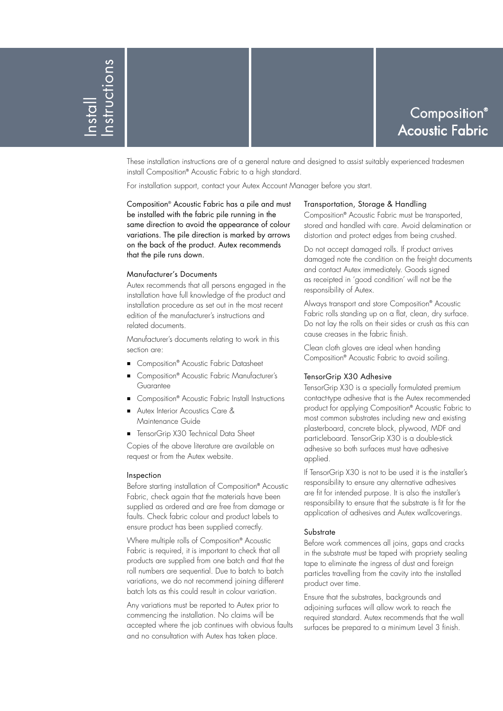# Composition® Acoustic Fabric

These installation instructions are of a general nature and designed to assist suitably experienced tradesmen install Composition® Acoustic Fabric to a high standard.

For installation support, contact your Autex Account Manager before you start.

Composition® Acoustic Fabric has a pile and must be installed with the fabric pile running in the same direction to avoid the appearance of colour variations. The pile direction is marked by arrows on the back of the product. Autex recommends that the pile runs down.

## Manufacturer's Documents

Autex recommends that all persons engaged in the installation have full knowledge of the product and installation procedure as set out in the most recent edition of the manufacturer's instructions and related documents.

Manufacturer's documents relating to work in this section are:

- Composition® Acoustic Fabric Datasheet
- Composition® Acoustic Fabric Manufacturer's Guarantee
- Composition® Acoustic Fabric Install Instructions
- Autex Interior Acoustics Care & Maintenance Guide
- **TensorGrip X30 Technical Data Sheet**

Copies of the above literature are available on request or from the Autex website.

## Inspection

Before starting installation of Composition® Acoustic Fabric, check again that the materials have been supplied as ordered and are free from damage or faults. Check fabric colour and product labels to ensure product has been supplied correctly.

Where multiple rolls of Composition® Acoustic Fabric is required, it is important to check that all products are supplied from one batch and that the roll numbers are sequential. Due to batch to batch variations, we do not recommend joining different batch lots as this could result in colour variation.

Any variations must be reported to Autex prior to commencing the installation. No claims will be accepted where the job continues with obvious faults and no consultation with Autex has taken place.

# Transportation, Storage & Handling

Composition® Acoustic Fabric must be transported, stored and handled with care. Avoid delamination or distortion and protect edges from being crushed.

Do not accept damaged rolls. If product arrives damaged note the condition on the freight documents and contact Autex immediately. Goods signed as receipted in 'good condition' will not be the responsibility of Autex.

Always transport and store Composition® Acoustic Fabric rolls standing up on a flat, clean, dry surface. Do not lay the rolls on their sides or crush as this can cause creases in the fabric finish.

Clean cloth gloves are ideal when handing Composition® Acoustic Fabric to avoid soiling.

## TensorGrip X30 Adhesive

TensorGrip X30 is a specially formulated premium contact-type adhesive that is the Autex recommended product for applying Composition® Acoustic Fabric to most common substrates including new and existing plasterboard, concrete block, plywood, MDF and particleboard. TensorGrip X30 is a double-stick adhesive so both surfaces must have adhesive applied.

If TensorGrip X30 is not to be used it is the installer's responsibility to ensure any alternative adhesives are fit for intended purpose. It is also the installer's responsibility to ensure that the substrate is fit for the application of adhesives and Autex wallcoverings.

# **Substrate**

Before work commences all joins, gaps and cracks in the substrate must be taped with propriety sealing tape to eliminate the ingress of dust and foreign particles travelling from the cavity into the installed product over time.

Ensure that the substrates, backgrounds and adjoining surfaces will allow work to reach the required standard. Autex recommends that the wall surfaces be prepared to a minimum Level 3 finish.